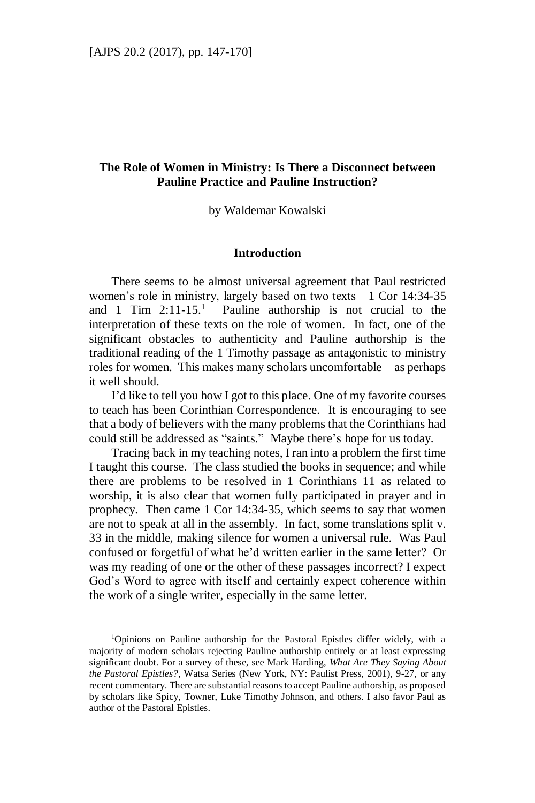# **The Role of Women in Ministry: Is There a Disconnect between Pauline Practice and Pauline Instruction?**

by Waldemar Kowalski

### **Introduction**

There seems to be almost universal agreement that Paul restricted women's role in ministry, largely based on two texts—1 Cor 14:34-35 and 1 Tim  $2:11-15$ <sup>1</sup> Pauline authorship is not crucial to the interpretation of these texts on the role of women. In fact, one of the significant obstacles to authenticity and Pauline authorship is the traditional reading of the 1 Timothy passage as antagonistic to ministry roles for women. This makes many scholars uncomfortable—as perhaps it well should.

I'd like to tell you how I got to this place. One of my favorite courses to teach has been Corinthian Correspondence. It is encouraging to see that a body of believers with the many problems that the Corinthians had could still be addressed as "saints." Maybe there's hope for us today.

Tracing back in my teaching notes, I ran into a problem the first time I taught this course. The class studied the books in sequence; and while there are problems to be resolved in 1 Corinthians 11 as related to worship, it is also clear that women fully participated in prayer and in prophecy. Then came 1 Cor 14:34-35, which seems to say that women are not to speak at all in the assembly. In fact, some translations split v. 33 in the middle, making silence for women a universal rule. Was Paul confused or forgetful of what he'd written earlier in the same letter? Or was my reading of one or the other of these passages incorrect? I expect God's Word to agree with itself and certainly expect coherence within the work of a single writer, especially in the same letter.

<sup>1</sup>Opinions on Pauline authorship for the Pastoral Epistles differ widely, with a majority of modern scholars rejecting Pauline authorship entirely or at least expressing significant doubt. For a survey of these, see Mark Harding, *What Are They Saying About the Pastoral Epistles?*, Watsa Series (New York, NY: Paulist Press, 2001), 9-27, or any recent commentary. There are substantial reasons to accept Pauline authorship, as proposed by scholars like Spicy, Towner, Luke Timothy Johnson, and others. I also favor Paul as author of the Pastoral Epistles.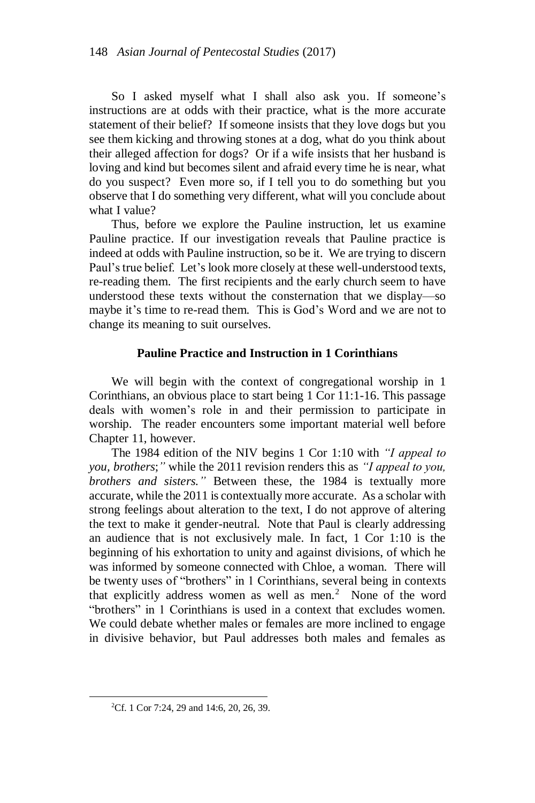So I asked myself what I shall also ask you. If someone's instructions are at odds with their practice, what is the more accurate statement of their belief? If someone insists that they love dogs but you see them kicking and throwing stones at a dog, what do you think about their alleged affection for dogs? Or if a wife insists that her husband is loving and kind but becomes silent and afraid every time he is near, what do you suspect? Even more so, if I tell you to do something but you observe that I do something very different, what will you conclude about what I value?

Thus, before we explore the Pauline instruction, let us examine Pauline practice. If our investigation reveals that Pauline practice is indeed at odds with Pauline instruction, so be it. We are trying to discern Paul's true belief. Let's look more closely at these well-understood texts, re-reading them. The first recipients and the early church seem to have understood these texts without the consternation that we display—so maybe it's time to re-read them. This is God's Word and we are not to change its meaning to suit ourselves.

# **Pauline Practice and Instruction in 1 Corinthians**

We will begin with the context of congregational worship in 1 Corinthians, an obvious place to start being 1 Cor 11:1-16. This passage deals with women's role in and their permission to participate in worship. The reader encounters some important material well before Chapter 11, however.

The 1984 edition of the NIV begins 1 Cor 1:10 with *"I appeal to you, brothers*;*"* while the 2011 revision renders this as *"I appeal to you, brothers and sisters."* Between these, the 1984 is textually more accurate, while the 2011 is contextually more accurate. As a scholar with strong feelings about alteration to the text, I do not approve of altering the text to make it gender-neutral. Note that Paul is clearly addressing an audience that is not exclusively male. In fact, 1 Cor 1:10 is the beginning of his exhortation to unity and against divisions, of which he was informed by someone connected with Chloe, a woman. There will be twenty uses of "brothers" in 1 Corinthians, several being in contexts that explicitly address women as well as men. $<sup>2</sup>$  None of the word</sup> "brothers" in 1 Corinthians is used in a context that excludes women. We could debate whether males or females are more inclined to engage in divisive behavior, but Paul addresses both males and females as

<sup>&</sup>lt;sup>2</sup>Cf. 1 Cor 7:24, 29 and 14:6, 20, 26, 39.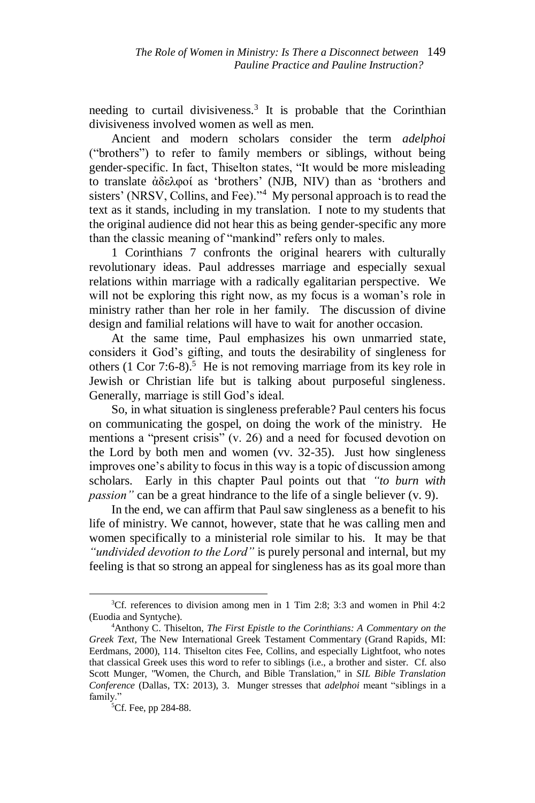needing to curtail divisiveness.<sup>3</sup> It is probable that the Corinthian divisiveness involved women as well as men.

Ancient and modern scholars consider the term *adelphoi* ("brothers") to refer to family members or siblings, without being gender-specific. In fact, Thiselton states, "It would be more misleading to translate ἀδελφοί as 'brothers' (NJB, NIV) than as 'brothers and sisters' (NRSV, Collins, and Fee).<sup>34</sup> My personal approach is to read the text as it stands, including in my translation. I note to my students that the original audience did not hear this as being gender-specific any more than the classic meaning of "mankind" refers only to males.

1 Corinthians 7 confronts the original hearers with culturally revolutionary ideas. Paul addresses marriage and especially sexual relations within marriage with a radically egalitarian perspective. We will not be exploring this right now, as my focus is a woman's role in ministry rather than her role in her family. The discussion of divine design and familial relations will have to wait for another occasion.

At the same time, Paul emphasizes his own unmarried state, considers it God's gifting, and touts the desirability of singleness for others  $(1 \text{ Cor } 7:6-8)$ <sup>5</sup> He is not removing marriage from its key role in Jewish or Christian life but is talking about purposeful singleness. Generally, marriage is still God's ideal.

So, in what situation is singleness preferable? Paul centers his focus on communicating the gospel, on doing the work of the ministry. He mentions a "present crisis" (v. 26) and a need for focused devotion on the Lord by both men and women (vv. 32-35). Just how singleness improves one's ability to focus in this way is a topic of discussion among scholars. Early in this chapter Paul points out that *"to burn with passion*" can be a great hindrance to the life of a single believer (v. 9).

In the end, we can affirm that Paul saw singleness as a benefit to his life of ministry. We cannot, however, state that he was calling men and women specifically to a ministerial role similar to his. It may be that *"undivided devotion to the Lord"* is purely personal and internal, but my feeling is that so strong an appeal for singleness has as its goal more than

<sup>3</sup>Cf. references to division among men in 1 Tim 2:8; 3:3 and women in Phil 4:2 (Euodia and Syntyche).

<sup>4</sup>Anthony C. Thiselton, *The First Epistle to the Corinthians: A Commentary on the Greek Text*, The New International Greek Testament Commentary (Grand Rapids, MI: Eerdmans, 2000), 114. Thiselton cites Fee, Collins, and especially Lightfoot, who notes that classical Greek uses this word to refer to siblings (i.e., a brother and sister. Cf. also Scott Munger, "Women, the Church, and Bible Translation," in *SIL Bible Translation Conference* (Dallas, TX: 2013), 3. Munger stresses that *adelphoi* meant "siblings in a family."

<sup>&</sup>lt;sup>5</sup>Cf. Fee, pp 284-88.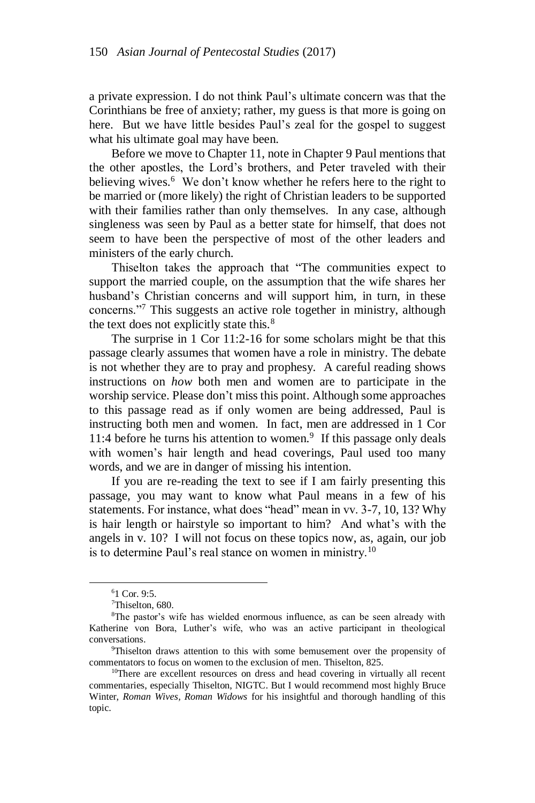a private expression. I do not think Paul's ultimate concern was that the Corinthians be free of anxiety; rather, my guess is that more is going on here. But we have little besides Paul's zeal for the gospel to suggest what his ultimate goal may have been.

Before we move to Chapter 11, note in Chapter 9 Paul mentions that the other apostles, the Lord's brothers, and Peter traveled with their believing wives.<sup>6</sup> We don't know whether he refers here to the right to be married or (more likely) the right of Christian leaders to be supported with their families rather than only themselves. In any case, although singleness was seen by Paul as a better state for himself, that does not seem to have been the perspective of most of the other leaders and ministers of the early church.

Thiselton takes the approach that "The communities expect to support the married couple, on the assumption that the wife shares her husband's Christian concerns and will support him, in turn, in these concerns."<sup>7</sup> This suggests an active role together in ministry, although the text does not explicitly state this. $8<sup>8</sup>$ 

The surprise in 1 Cor 11:2-16 for some scholars might be that this passage clearly assumes that women have a role in ministry. The debate is not whether they are to pray and prophesy. A careful reading shows instructions on *how* both men and women are to participate in the worship service. Please don't miss this point. Although some approaches to this passage read as if only women are being addressed, Paul is instructing both men and women. In fact, men are addressed in 1 Cor 11:4 before he turns his attention to women.<sup>9</sup> If this passage only deals with women's hair length and head coverings, Paul used too many words, and we are in danger of missing his intention.

If you are re-reading the text to see if I am fairly presenting this passage, you may want to know what Paul means in a few of his statements. For instance, what does "head" mean in vv. 3-7, 10, 13? Why is hair length or hairstyle so important to him? And what's with the angels in v. 10? I will not focus on these topics now, as, again, our job is to determine Paul's real stance on women in ministry.<sup>10</sup>

<sup>6</sup>1 Cor. 9:5.

<sup>&</sup>lt;sup>7</sup>Thiselton, 680.

<sup>&</sup>lt;sup>8</sup>The pastor's wife has wielded enormous influence, as can be seen already with Katherine von Bora, Luther's wife, who was an active participant in theological conversations.

<sup>9</sup>Thiselton draws attention to this with some bemusement over the propensity of commentators to focus on women to the exclusion of men. Thiselton, 825.

<sup>&</sup>lt;sup>10</sup>There are excellent resources on dress and head covering in virtually all recent commentaries, especially Thiselton, NIGTC. But I would recommend most highly Bruce Winter, *Roman Wives, Roman Widows* for his insightful and thorough handling of this topic.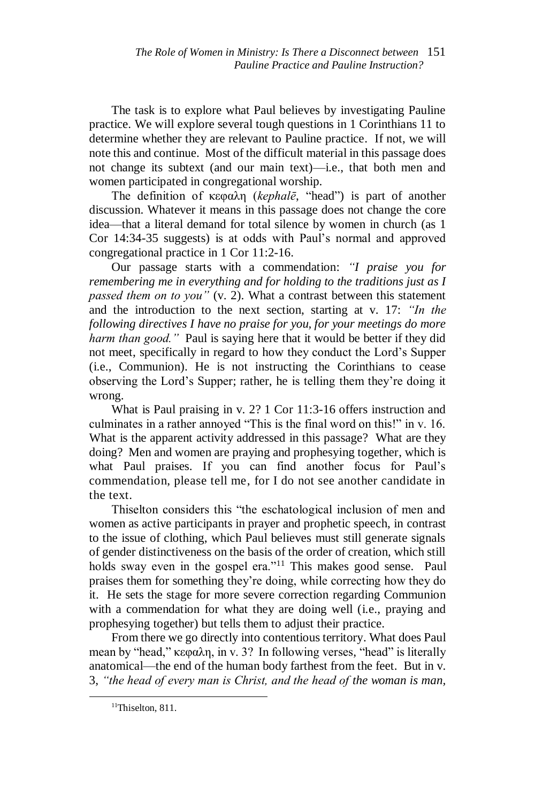The task is to explore what Paul believes by investigating Pauline practice. We will explore several tough questions in 1 Corinthians 11 to determine whether they are relevant to Pauline practice. If not, we will note this and continue. Most of the difficult material in this passage does not change its subtext (and our main text)—i.e., that both men and women participated in congregational worship.

The definition of κεφαλη (*kephalē*, "head") is part of another discussion. Whatever it means in this passage does not change the core idea—that a literal demand for total silence by women in church (as 1 Cor 14:34-35 suggests) is at odds with Paul's normal and approved congregational practice in 1 Cor 11:2-16.

Our passage starts with a commendation: *"I praise you for remembering me in everything and for holding to the traditions just as I passed them on to you"* (v. 2). What a contrast between this statement and the introduction to the next section, starting at v. 17: *"In the following directives I have no praise for you, for your meetings do more harm than good."* Paul is saying here that it would be better if they did not meet, specifically in regard to how they conduct the Lord's Supper (i.e., Communion). He is not instructing the Corinthians to cease observing the Lord's Supper; rather, he is telling them they're doing it wrong.

What is Paul praising in v. 2? 1 Cor 11:3-16 offers instruction and culminates in a rather annoyed "This is the final word on this!" in v. 16. What is the apparent activity addressed in this passage? What are they doing? Men and women are praying and prophesying together, which is what Paul praises. If you can find another focus for Paul's commendation, please tell me, for I do not see another candidate in the text.

Thiselton considers this "the eschatological inclusion of men and women as active participants in prayer and prophetic speech, in contrast to the issue of clothing, which Paul believes must still generate signals of gender distinctiveness on the basis of the order of creation, which still holds sway even in the gospel era."<sup>11</sup> This makes good sense. Paul praises them for something they're doing, while correcting how they do it. He sets the stage for more severe correction regarding Communion with a commendation for what they are doing well (i.e., praying and prophesying together) but tells them to adjust their practice.

From there we go directly into contentious territory. What does Paul mean by "head," κεφαλη, in v. 3? In following verses, "head" is literally anatomical—the end of the human body farthest from the feet. But in v. 3, *"the head of every man is Christ, and the head of the woman is man,* 

<sup>&</sup>lt;sup>11</sup>Thiselton, 811.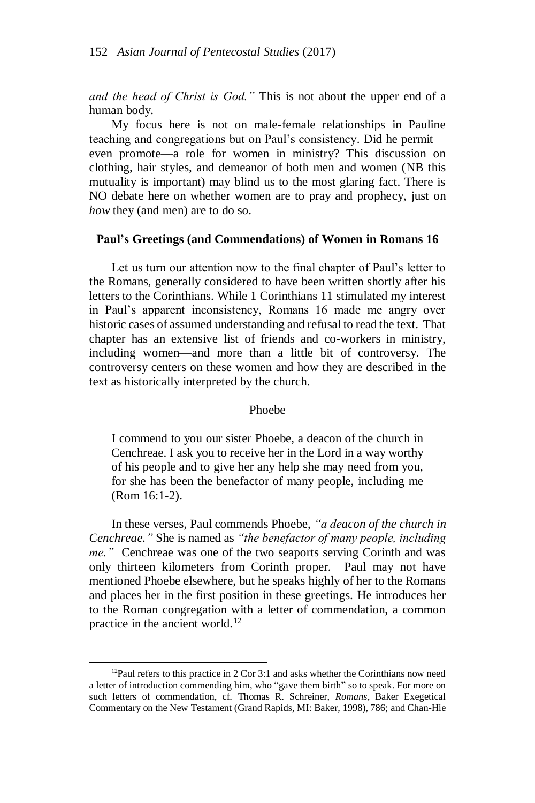*and the head of Christ is God."* This is not about the upper end of a human body.

My focus here is not on male-female relationships in Pauline teaching and congregations but on Paul's consistency. Did he permit even promote—a role for women in ministry? This discussion on clothing, hair styles, and demeanor of both men and women (NB this mutuality is important) may blind us to the most glaring fact. There is NO debate here on whether women are to pray and prophecy, just on *how* they (and men) are to do so.

#### **Paul's Greetings (and Commendations) of Women in Romans 16**

Let us turn our attention now to the final chapter of Paul's letter to the Romans, generally considered to have been written shortly after his letters to the Corinthians. While 1 Corinthians 11 stimulated my interest in Paul's apparent inconsistency, Romans 16 made me angry over historic cases of assumed understanding and refusal to read the text. That chapter has an extensive list of friends and co-workers in ministry, including women—and more than a little bit of controversy. The controversy centers on these women and how they are described in the text as historically interpreted by the church.

## Phoebe

I commend to you our sister Phoebe, a deacon of the church in Cenchreae. I ask you to receive her in the Lord in a way worthy of his people and to give her any help she may need from you, for she has been the benefactor of many people, including me (Rom 16:1-2).

In these verses, Paul commends Phoebe, *"a deacon of the church in Cenchreae."* She is named as *"the benefactor of many people, including me."* Cenchreae was one of the two seaports serving Corinth and was only thirteen kilometers from Corinth proper. Paul may not have mentioned Phoebe elsewhere, but he speaks highly of her to the Romans and places her in the first position in these greetings. He introduces her to the Roman congregation with a letter of commendation, a common practice in the ancient world. $12$ 

<sup>&</sup>lt;sup>12</sup>Paul refers to this practice in 2 Cor 3:1 and asks whether the Corinthians now need a letter of introduction commending him, who "gave them birth" so to speak. For more on such letters of commendation, cf. Thomas R. Schreiner, *Romans*, Baker Exegetical Commentary on the New Testament (Grand Rapids, MI: Baker, 1998), 786; and Chan-Hie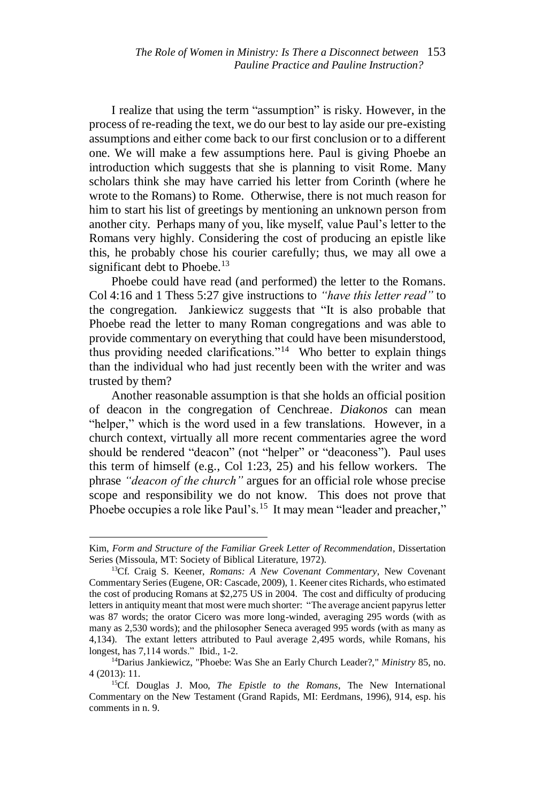I realize that using the term "assumption" is risky. However, in the process of re-reading the text, we do our best to lay aside our pre-existing assumptions and either come back to our first conclusion or to a different one. We will make a few assumptions here. Paul is giving Phoebe an introduction which suggests that she is planning to visit Rome. Many scholars think she may have carried his letter from Corinth (where he wrote to the Romans) to Rome. Otherwise, there is not much reason for him to start his list of greetings by mentioning an unknown person from another city. Perhaps many of you, like myself, value Paul's letter to the Romans very highly. Considering the cost of producing an epistle like this, he probably chose his courier carefully; thus, we may all owe a significant debt to Phoebe.<sup>13</sup>

Phoebe could have read (and performed) the letter to the Romans. Col 4:16 and 1 Thess 5:27 give instructions to *"have this letter read"* to the congregation. Jankiewicz suggests that "It is also probable that Phoebe read the letter to many Roman congregations and was able to provide commentary on everything that could have been misunderstood, thus providing needed clarifications."<sup>14</sup> Who better to explain things than the individual who had just recently been with the writer and was trusted by them?

Another reasonable assumption is that she holds an official position of deacon in the congregation of Cenchreae. *Diakonos* can mean "helper," which is the word used in a few translations. However, in a church context, virtually all more recent commentaries agree the word should be rendered "deacon" (not "helper" or "deaconess"). Paul uses this term of himself (e.g., Col 1:23, 25) and his fellow workers. The phrase *"deacon of the church"* argues for an official role whose precise scope and responsibility we do not know. This does not prove that Phoebe occupies a role like Paul's.<sup>15</sup> It may mean "leader and preacher,"

Kim, *Form and Structure of the Familiar Greek Letter of Recommendation*, Dissertation Series (Missoula, MT: Society of Biblical Literature, 1972).

<sup>13</sup>Cf. Craig S. Keener, *Romans: A New Covenant Commentary*, New Covenant Commentary Series (Eugene, OR: Cascade, 2009), 1. Keener cites Richards, who estimated the cost of producing Romans at \$2,275 US in 2004. The cost and difficulty of producing letters in antiquity meant that most were much shorter: "The average ancient papyrus letter was 87 words; the orator Cicero was more long-winded, averaging 295 words (with as many as 2,530 words); and the philosopher Seneca averaged 995 words (with as many as 4,134). The extant letters attributed to Paul average 2,495 words, while Romans, his longest, has 7,114 words." Ibid., 1-2.

<sup>14</sup>Darius Jankiewicz, "Phoebe: Was She an Early Church Leader?," *Ministry* 85, no. 4 (2013): 11.

<sup>15</sup>Cf. Douglas J. Moo, *The Epistle to the Romans*, The New International Commentary on the New Testament (Grand Rapids, MI: Eerdmans, 1996), 914, esp. his comments in n. 9.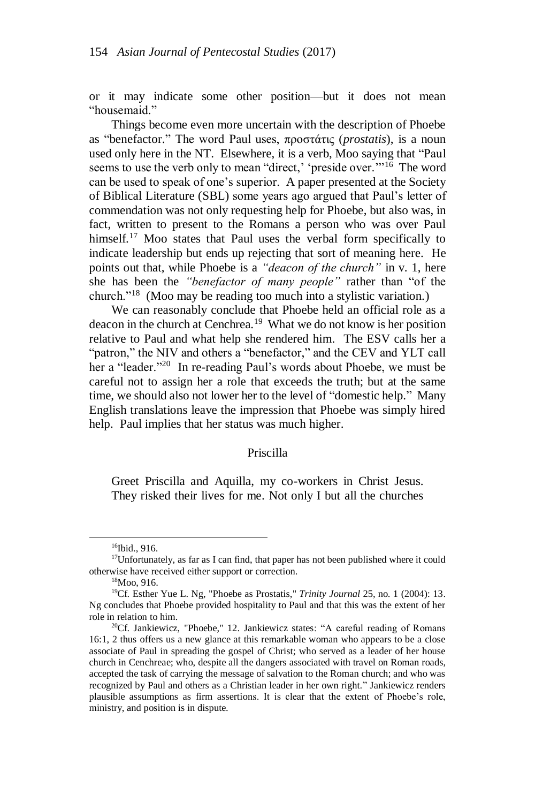or it may indicate some other position—but it does not mean "housemaid."

Things become even more uncertain with the description of Phoebe as "benefactor." The word Paul uses, προστάτις (*prostatis*), is a noun used only here in the NT. Elsewhere, it is a verb, Moo saying that "Paul seems to use the verb only to mean "direct,' 'preside over.'"<sup>16</sup> The word can be used to speak of one's superior. A paper presented at the Society of Biblical Literature (SBL) some years ago argued that Paul's letter of commendation was not only requesting help for Phoebe, but also was, in fact, written to present to the Romans a person who was over Paul himself.<sup>17</sup> Moo states that Paul uses the verbal form specifically to indicate leadership but ends up rejecting that sort of meaning here. He points out that, while Phoebe is a *"deacon of the church"* in v. 1, here she has been the *"benefactor of many people"* rather than "of the church."<sup>18</sup> (Moo may be reading too much into a stylistic variation.)

We can reasonably conclude that Phoebe held an official role as a deacon in the church at Cenchrea.<sup>19</sup> What we do not know is her position relative to Paul and what help she rendered him. The ESV calls her a "patron," the NIV and others a "benefactor," and the CEV and YLT call her a "leader."<sup>20</sup> In re-reading Paul's words about Phoebe, we must be careful not to assign her a role that exceeds the truth; but at the same time, we should also not lower her to the level of "domestic help." Many English translations leave the impression that Phoebe was simply hired help. Paul implies that her status was much higher.

### Priscilla

Greet Priscilla and Aquilla, my co-workers in Christ Jesus. They risked their lives for me. Not only I but all the churches

<sup>&</sup>lt;sup>16</sup>Ibid., 916.

<sup>&</sup>lt;sup>17</sup>Unfortunately, as far as I can find, that paper has not been published where it could otherwise have received either support or correction.

<sup>18</sup>Moo, 916.

<sup>19</sup>Cf. Esther Yue L. Ng, "Phoebe as Prostatis," *Trinity Journal* 25, no. 1 (2004): 13. Ng concludes that Phoebe provided hospitality to Paul and that this was the extent of her role in relation to him.

 $20$ Cf. Jankiewicz, "Phoebe," 12. Jankiewicz states: "A careful reading of Romans 16:1, 2 thus offers us a new glance at this remarkable woman who appears to be a close associate of Paul in spreading the gospel of Christ; who served as a leader of her house church in Cenchreae; who, despite all the dangers associated with travel on Roman roads, accepted the task of carrying the message of salvation to the Roman church; and who was recognized by Paul and others as a Christian leader in her own right." Jankiewicz renders plausible assumptions as firm assertions. It is clear that the extent of Phoebe's role, ministry, and position is in dispute.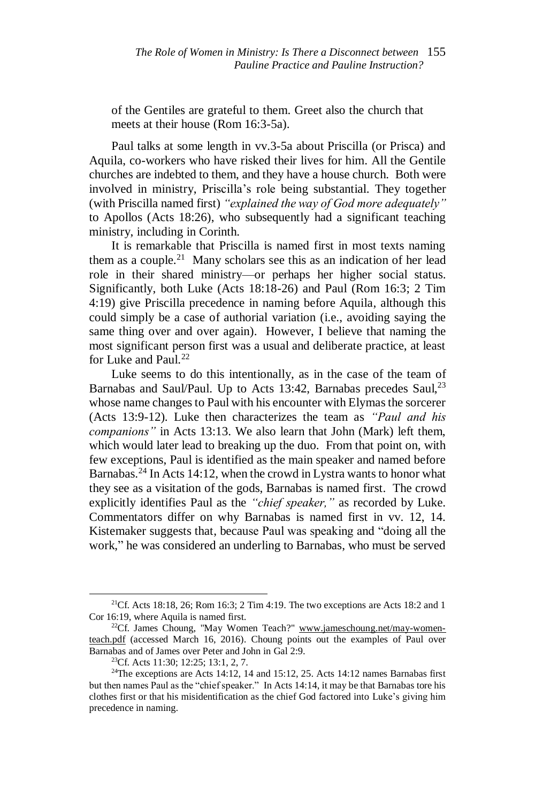of the Gentiles are grateful to them. Greet also the church that meets at their house (Rom 16:3-5a).

Paul talks at some length in vv.3-5a about Priscilla (or Prisca) and Aquila, co-workers who have risked their lives for him. All the Gentile churches are indebted to them, and they have a house church. Both were involved in ministry, Priscilla's role being substantial. They together (with Priscilla named first) *"explained the way of God more adequately"* to Apollos (Acts 18:26), who subsequently had a significant teaching ministry, including in Corinth.

It is remarkable that Priscilla is named first in most texts naming them as a couple.<sup>21</sup> Many scholars see this as an indication of her lead role in their shared ministry—or perhaps her higher social status. Significantly, both Luke (Acts 18:18-26) and Paul (Rom 16:3; 2 Tim 4:19) give Priscilla precedence in naming before Aquila, although this could simply be a case of authorial variation (i.e., avoiding saying the same thing over and over again). However, I believe that naming the most significant person first was a usual and deliberate practice, at least for Luke and Paul.<sup>22</sup>

Luke seems to do this intentionally, as in the case of the team of Barnabas and Saul/Paul. Up to Acts 13:42, Barnabas precedes Saul,<sup>23</sup> whose name changes to Paul with his encounter with Elymas the sorcerer (Acts 13:9-12). Luke then characterizes the team as *"Paul and his companions"* in Acts 13:13. We also learn that John (Mark) left them, which would later lead to breaking up the duo. From that point on, with few exceptions, Paul is identified as the main speaker and named before Barnabas.<sup>24</sup> In Acts 14:12, when the crowd in Lystra wants to honor what they see as a visitation of the gods, Barnabas is named first. The crowd explicitly identifies Paul as the *"chief speaker,"* as recorded by Luke. Commentators differ on why Barnabas is named first in vv. 12, 14. Kistemaker suggests that, because Paul was speaking and "doing all the work," he was considered an underling to Barnabas, who must be served

<sup>&</sup>lt;sup>21</sup>Cf. Acts 18:18, 26; Rom 16:3; 2 Tim 4:19. The two exceptions are Acts 18:2 and 1 Cor 16:19, where Aquila is named first.

<sup>&</sup>lt;sup>22</sup>Cf. James Choung, "May Women Teach?" [www.jameschoung.net/may-women](http://www.jameschoung.net/may-women-teach.pdf)[teach.pdf](http://www.jameschoung.net/may-women-teach.pdf) (accessed March 16, 2016). Choung points out the examples of Paul over Barnabas and of James over Peter and John in Gal 2:9.

<sup>23</sup>Cf. Acts 11:30; 12:25; 13:1, 2, 7.

<sup>&</sup>lt;sup>24</sup>The exceptions are Acts 14:12, 14 and 15:12, 25. Acts 14:12 names Barnabas first but then names Paul as the "chief speaker." In Acts 14:14, it may be that Barnabas tore his clothes first or that his misidentification as the chief God factored into Luke's giving him precedence in naming.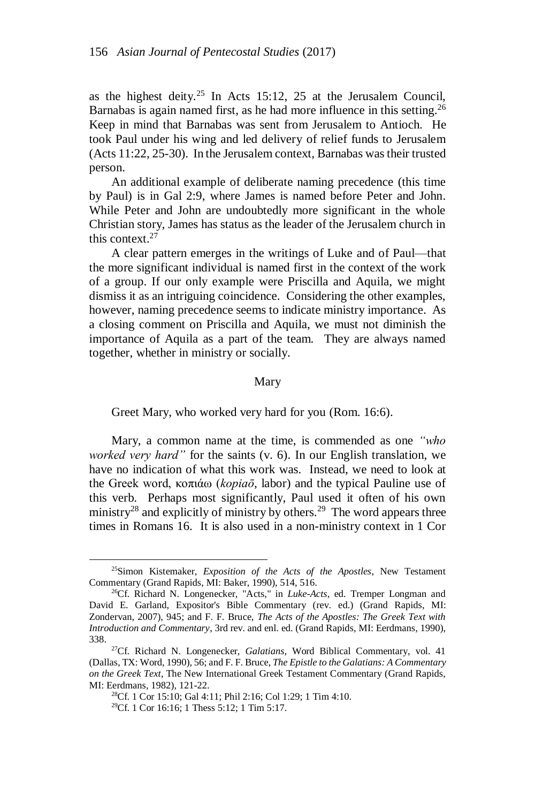as the highest deity.<sup>25</sup> In Acts 15:12, 25 at the Jerusalem Council, Barnabas is again named first, as he had more influence in this setting.<sup>26</sup> Keep in mind that Barnabas was sent from Jerusalem to Antioch. He took Paul under his wing and led delivery of relief funds to Jerusalem (Acts 11:22, 25-30). In the Jerusalem context, Barnabas was their trusted person.

An additional example of deliberate naming precedence (this time by Paul) is in Gal 2:9, where James is named before Peter and John. While Peter and John are undoubtedly more significant in the whole Christian story, James has status as the leader of the Jerusalem church in this context.<sup>27</sup>

A clear pattern emerges in the writings of Luke and of Paul—that the more significant individual is named first in the context of the work of a group. If our only example were Priscilla and Aquila, we might dismiss it as an intriguing coincidence. Considering the other examples, however, naming precedence seems to indicate ministry importance. As a closing comment on Priscilla and Aquila, we must not diminish the importance of Aquila as a part of the team. They are always named together, whether in ministry or socially.

#### Mary

Greet Mary, who worked very hard for you (Rom. 16:6).

Mary, a common name at the time, is commended as one *"who worked very hard"* for the saints (v. 6). In our English translation, we have no indication of what this work was. Instead, we need to look at the Greek word, κοπιάω (*kopiaō*, labor) and the typical Pauline use of this verb. Perhaps most significantly, Paul used it often of his own ministry<sup>28</sup> and explicitly of ministry by others.<sup>29</sup> The word appears three times in Romans 16. It is also used in a non-ministry context in 1 Cor

<sup>25</sup>Simon Kistemaker, *Exposition of the Acts of the Apostles*, New Testament Commentary (Grand Rapids, MI: Baker, 1990), 514, 516.

<sup>26</sup>Cf. Richard N. Longenecker, "Acts," in *Luke-Acts*, ed. Tremper Longman and David E. Garland, Expositor's Bible Commentary (rev. ed.) (Grand Rapids, MI: Zondervan, 2007), 945; and F. F. Bruce, *The Acts of the Apostles: The Greek Text with Introduction and Commentary*, 3rd rev. and enl. ed. (Grand Rapids, MI: Eerdmans, 1990), 338.

<sup>27</sup>Cf. Richard N. Longenecker, *Galatians*, Word Biblical Commentary, vol. 41 (Dallas, TX: Word, 1990), 56; and F. F. Bruce, *The Epistle to the Galatians: A Commentary on the Greek Text*, The New International Greek Testament Commentary (Grand Rapids, MI: Eerdmans, 1982), 121-22.

<sup>28</sup>Cf. 1 Cor 15:10; Gal 4:11; Phil 2:16; Col 1:29; 1 Tim 4:10.

<sup>29</sup>Cf. 1 Cor 16:16; 1 Thess 5:12; 1 Tim 5:17.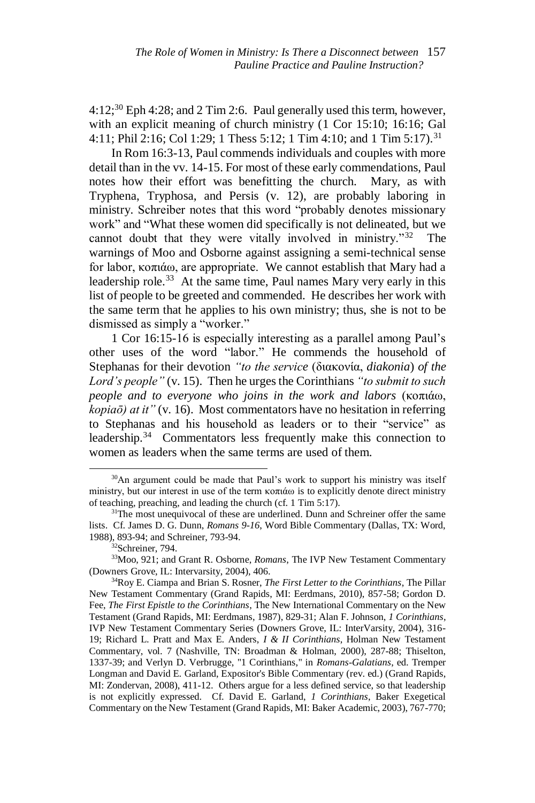$4:12$ <sup>30</sup> Eph  $4:28$ ; and  $2$  Tim 2:6. Paul generally used this term, however, with an explicit meaning of church ministry (1 Cor 15:10; 16:16; Gal 4:11; Phil 2:16; Col 1:29; 1 Thess 5:12; 1 Tim 4:10; and 1 Tim 5:17).<sup>31</sup>

In Rom 16:3-13, Paul commends individuals and couples with more detail than in the vv. 14-15. For most of these early commendations, Paul notes how their effort was benefitting the church. Mary, as with Tryphena, Tryphosa, and Persis (v. 12), are probably laboring in ministry. Schreiber notes that this word "probably denotes missionary work" and "What these women did specifically is not delineated, but we cannot doubt that they were vitally involved in ministry."<sup>32</sup> The warnings of Moo and Osborne against assigning a semi-technical sense for labor, κοπιάω, are appropriate. We cannot establish that Mary had a leadership role.<sup>33</sup> At the same time, Paul names Mary very early in this list of people to be greeted and commended. He describes her work with the same term that he applies to his own ministry; thus, she is not to be dismissed as simply a "worker."

1 Cor 16:15-16 is especially interesting as a parallel among Paul's other uses of the word "labor." He commends the household of Stephanas for their devotion *"to the service* (διακονία, *diakonia*) *of the Lord's people"*(v. 15). Then he urges the Corinthians *"to submit to such people and to everyone who joins in the work and labors* (κοπιάω, *kopiaō) at it"*(v. 16). Most commentators have no hesitation in referring to Stephanas and his household as leaders or to their "service" as leadership.<sup>34</sup> Commentators less frequently make this connection to women as leaders when the same terms are used of them.

<sup>&</sup>lt;sup>30</sup>An argument could be made that Paul's work to support his ministry was itself ministry, but our interest in use of the term κοπιάω is to explicitly denote direct ministry of teaching, preaching, and leading the church (cf. 1 Tim 5:17).

<sup>&</sup>lt;sup>31</sup>The most unequivocal of these are underlined. Dunn and Schreiner offer the same lists. Cf. James D. G. Dunn, *Romans 9-16*, Word Bible Commentary (Dallas, TX: Word, 1988), 893-94; and Schreiner, 793-94.

<sup>32</sup>Schreiner, 794.

<sup>33</sup>Moo, 921; and Grant R. Osborne, *Romans*, The IVP New Testament Commentary (Downers Grove, IL: Intervarsity, 2004), 406.

<sup>34</sup>Roy E. Ciampa and Brian S. Rosner, *The First Letter to the Corinthians*, The Pillar New Testament Commentary (Grand Rapids, MI: Eerdmans, 2010), 857-58; Gordon D. Fee, *The First Epistle to the Corinthians*, The New International Commentary on the New Testament (Grand Rapids, MI: Eerdmans, 1987), 829-31; Alan F. Johnson, *1 Corinthians*, IVP New Testament Commentary Series (Downers Grove, IL: InterVarsity, 2004), 316- 19; Richard L. Pratt and Max E. Anders, *I & II Corinthians*, Holman New Testament Commentary, vol. 7 (Nashville, TN: Broadman & Holman, 2000), 287-88; Thiselton, 1337-39; and Verlyn D. Verbrugge, "1 Corinthians," in *Romans-Galatians*, ed. Tremper Longman and David E. Garland, Expositor's Bible Commentary (rev. ed.) (Grand Rapids, MI: Zondervan, 2008), 411-12. Others argue for a less defined service, so that leadership is not explicitly expressed. Cf. David E. Garland, *1 Corinthians*, Baker Exegetical Commentary on the New Testament (Grand Rapids, MI: Baker Academic, 2003), 767-770;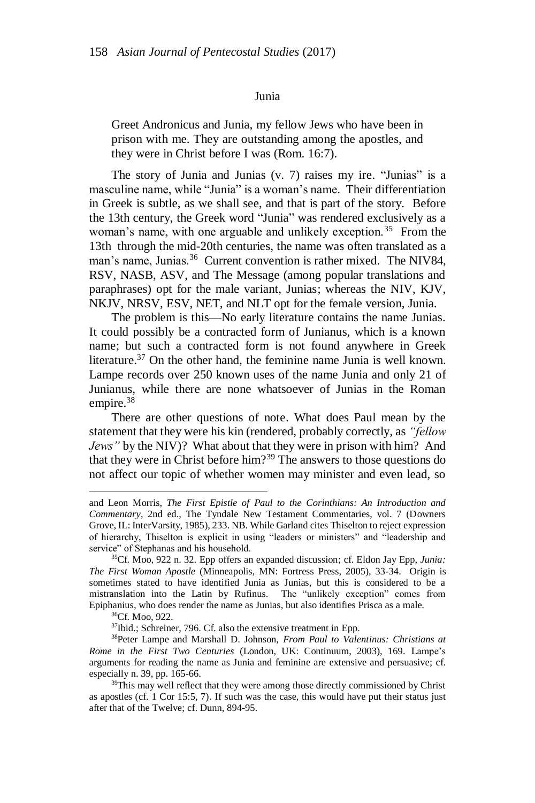#### Junia

Greet Andronicus and Junia, my fellow Jews who have been in prison with me. They are outstanding among the apostles, and they were in Christ before I was (Rom. 16:7).

The story of Junia and Junias (v. 7) raises my ire. "Junias" is a masculine name, while "Junia" is a woman's name. Their differentiation in Greek is subtle, as we shall see, and that is part of the story. Before the 13th century, the Greek word "Junia" was rendered exclusively as a woman's name, with one arguable and unlikely exception.<sup>35</sup> From the 13th through the mid-20th centuries, the name was often translated as a man's name, Junias.<sup>36</sup> Current convention is rather mixed. The NIV84, RSV, NASB, ASV, and The Message (among popular translations and paraphrases) opt for the male variant, Junias; whereas the NIV, KJV, NKJV, NRSV, ESV, NET, and NLT opt for the female version, Junia.

The problem is this—No early literature contains the name Junias. It could possibly be a contracted form of Junianus, which is a known name; but such a contracted form is not found anywhere in Greek literature.<sup>37</sup> On the other hand, the feminine name Junia is well known. Lampe records over 250 known uses of the name Junia and only 21 of Junianus, while there are none whatsoever of Junias in the Roman empire.<sup>38</sup>

There are other questions of note. What does Paul mean by the statement that they were his kin (rendered, probably correctly, as *"fellow Jews"* by the NIV)? What about that they were in prison with him? And that they were in Christ before him?<sup>39</sup> The answers to those questions do not affect our topic of whether women may minister and even lead, so

and Leon Morris, *The First Epistle of Paul to the Corinthians: An Introduction and Commentary*, 2nd ed., The Tyndale New Testament Commentaries, vol. 7 (Downers Grove, IL: InterVarsity, 1985), 233. NB. While Garland cites Thiselton to reject expression of hierarchy, Thiselton is explicit in using "leaders or ministers" and "leadership and service" of Stephanas and his household.

<sup>35</sup>Cf. Moo, 922 n. 32. Epp offers an expanded discussion; cf. Eldon Jay Epp, *Junia: The First Woman Apostle* (Minneapolis, MN: Fortress Press, 2005), 33-34. Origin is sometimes stated to have identified Junia as Junias, but this is considered to be a mistranslation into the Latin by Rufinus. The "unlikely exception" comes from Epiphanius, who does render the name as Junias, but also identifies Prisca as a male.

<sup>36</sup>Cf. Moo, 922.

<sup>37</sup>Ibid.; Schreiner, 796. Cf. also the extensive treatment in Epp.

<sup>38</sup>Peter Lampe and Marshall D. Johnson, *From Paul to Valentinus: Christians at Rome in the First Two Centuries* (London, UK: Continuum, 2003), 169. Lampe's arguments for reading the name as Junia and feminine are extensive and persuasive; cf. especially n. 39, pp. 165-66.

<sup>&</sup>lt;sup>39</sup>This may well reflect that they were among those directly commissioned by Christ as apostles (cf. 1 Cor 15:5, 7). If such was the case, this would have put their status just after that of the Twelve; cf. Dunn, 894-95.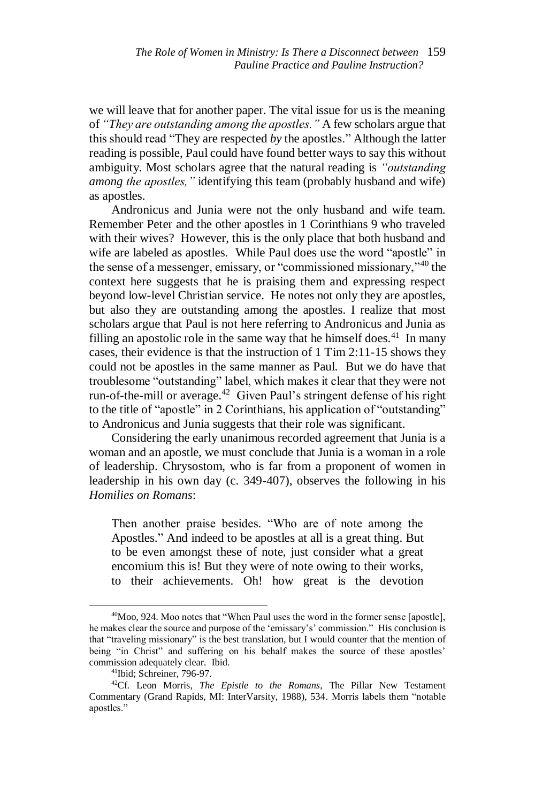we will leave that for another paper. The vital issue for us is the meaning of *"They are outstanding among the apostles."* A few scholars argue that this should read "They are respected *by* the apostles." Although the latter reading is possible, Paul could have found better ways to say this without ambiguity. Most scholars agree that the natural reading is *"outstanding among the apostles,"* identifying this team (probably husband and wife) as apostles.

Andronicus and Junia were not the only husband and wife team. Remember Peter and the other apostles in 1 Corinthians 9 who traveled with their wives? However, this is the only place that both husband and wife are labeled as apostles. While Paul does use the word "apostle" in the sense of a messenger, emissary, or "commissioned missionary,"<sup>40</sup> the context here suggests that he is praising them and expressing respect beyond low-level Christian service. He notes not only they are apostles, but also they are outstanding among the apostles. I realize that most scholars argue that Paul is not here referring to Andronicus and Junia as filling an apostolic role in the same way that he himself does.<sup>41</sup> In many cases, their evidence is that the instruction of 1 Tim 2:11-15 shows they could not be apostles in the same manner as Paul. But we do have that troublesome "outstanding" label, which makes it clear that they were not run-of-the-mill or average.<sup>42</sup> Given Paul's stringent defense of his right to the title of "apostle" in 2 Corinthians, his application of "outstanding" to Andronicus and Junia suggests that their role was significant.

Considering the early unanimous recorded agreement that Junia is a woman and an apostle, we must conclude that Junia is a woman in a role of leadership. Chrysostom, who is far from a proponent of women in leadership in his own day (c. 349-407), observes the following in his *Homilies on Romans*:

Then another praise besides. "Who are of note among the Apostles." And indeed to be apostles at all is a great thing. But to be even amongst these of note, just consider what a great encomium this is! But they were of note owing to their works, to their achievements. Oh! how great is the devotion

<sup>&</sup>lt;sup>40</sup>Moo, 924. Moo notes that "When Paul uses the word in the former sense [apostle], he makes clear the source and purpose of the 'emissary's' commission." His conclusion is that "traveling missionary" is the best translation, but I would counter that the mention of being "in Christ" and suffering on his behalf makes the source of these apostles' commission adequately clear. Ibid.

<sup>41</sup>Ibid; Schreiner, 796-97.

<sup>42</sup>Cf. Leon Morris, *The Epistle to the Romans*, The Pillar New Testament Commentary (Grand Rapids, MI: InterVarsity, 1988), 534. Morris labels them "notable apostles."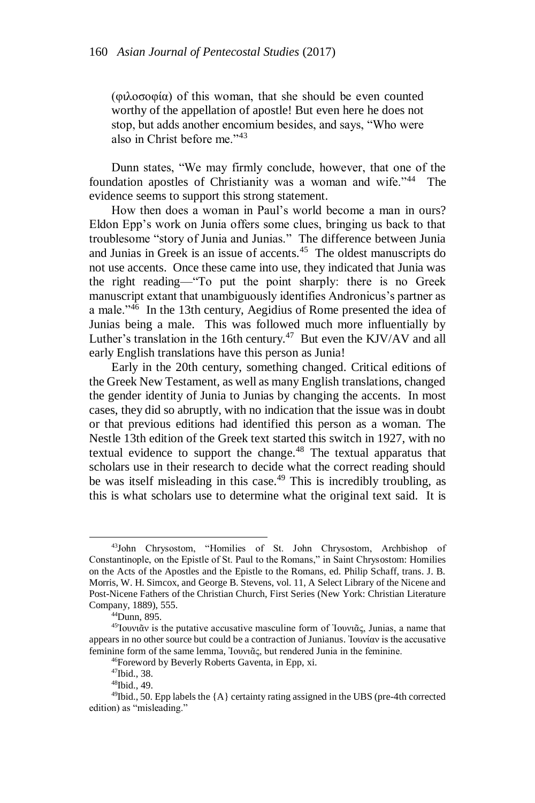(φιλοσοφία) of this woman, that she should be even counted worthy of the appellation of apostle! But even here he does not stop, but adds another encomium besides, and says, "Who were also in Christ before me."<sup>43</sup>

Dunn states, "We may firmly conclude, however, that one of the foundation apostles of Christianity was a woman and wife."<sup>44</sup> The evidence seems to support this strong statement.

How then does a woman in Paul's world become a man in ours? Eldon Epp's work on Junia offers some clues, bringing us back to that troublesome "story of Junia and Junias." The difference between Junia and Junias in Greek is an issue of accents.<sup>45</sup> The oldest manuscripts do not use accents. Once these came into use, they indicated that Junia was the right reading—"To put the point sharply: there is no Greek manuscript extant that unambiguously identifies Andronicus's partner as a male."<sup>46</sup> In the 13th century, Aegidius of Rome presented the idea of Junias being a male. This was followed much more influentially by Luther's translation in the 16th century.<sup>47</sup> But even the KJV/AV and all early English translations have this person as Junia!

Early in the 20th century, something changed. Critical editions of the Greek New Testament, as well as many English translations, changed the gender identity of Junia to Junias by changing the accents. In most cases, they did so abruptly, with no indication that the issue was in doubt or that previous editions had identified this person as a woman. The Nestle 13th edition of the Greek text started this switch in 1927, with no textual evidence to support the change.<sup>48</sup> The textual apparatus that scholars use in their research to decide what the correct reading should be was itself misleading in this case.<sup>49</sup> This is incredibly troubling, as this is what scholars use to determine what the original text said. It is

<sup>43</sup>John Chrysostom, "Homilies of St. John Chrysostom, Archbishop of Constantinople, on the Epistle of St. Paul to the Romans," in Saint Chrysostom: Homilies on the Acts of the Apostles and the Epistle to the Romans, ed. Philip Schaff, trans. J. B. Morris, W. H. Simcox, and George B. Stevens, vol. 11, A Select Library of the Nicene and Post-Nicene Fathers of the Christian Church, First Series (New York: Christian Literature Company, 1889), 555.

 $44$ Dunn, 895.

<sup>&</sup>lt;sup>45</sup>Ιουνιᾶν is the putative accusative masculine form of Ιουνιᾶς, Junias, a name that appears in no other source but could be a contraction of Junianus. Ἰουνίαν is the accusative feminine form of the same lemma, Ἰουνιᾶς, but rendered Junia in the feminine.

<sup>46</sup>Foreword by Beverly Roberts Gaventa, in Epp, xi.

<sup>47</sup>Ibid., 38.

<sup>48</sup>Ibid., 49.

 $49$ Ibid., 50. Epp labels the  ${A}$  certainty rating assigned in the UBS (pre-4th corrected edition) as "misleading."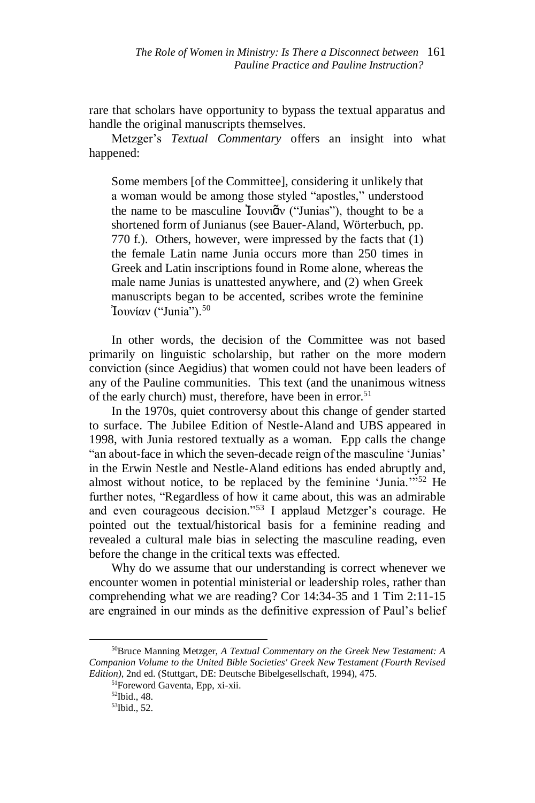rare that scholars have opportunity to bypass the textual apparatus and handle the original manuscripts themselves.

Metzger's *Textual Commentary* offers an insight into what happened:

Some members [of the Committee], considering it unlikely that a woman would be among those styled "apostles," understood the name to be masculine Ἰουνιᾶν ("Junias"), thought to be a shortened form of Junianus (see Bauer-Aland, Wörterbuch, pp. 770 f.). Others, however, were impressed by the facts that (1) the female Latin name Junia occurs more than 250 times in Greek and Latin inscriptions found in Rome alone, whereas the male name Junias is unattested anywhere, and (2) when Greek manuscripts began to be accented, scribes wrote the feminine Ἰουνίαν ("Junia").<sup>50</sup>

In other words, the decision of the Committee was not based primarily on linguistic scholarship, but rather on the more modern conviction (since Aegidius) that women could not have been leaders of any of the Pauline communities. This text (and the unanimous witness of the early church) must, therefore, have been in error.<sup>51</sup>

In the 1970s, quiet controversy about this change of gender started to surface. The Jubilee Edition of Nestle-Aland and UBS appeared in 1998, with Junia restored textually as a woman. Epp calls the change "an about-face in which the seven-decade reign of the masculine 'Junias' in the Erwin Nestle and Nestle-Aland editions has ended abruptly and, almost without notice, to be replaced by the feminine 'Junia.'"<sup>52</sup> He further notes, "Regardless of how it came about, this was an admirable and even courageous decision."<sup>53</sup> I applaud Metzger's courage. He pointed out the textual/historical basis for a feminine reading and revealed a cultural male bias in selecting the masculine reading, even before the change in the critical texts was effected.

Why do we assume that our understanding is correct whenever we encounter women in potential ministerial or leadership roles, rather than comprehending what we are reading? Cor 14:34-35 and 1 Tim 2:11-15 are engrained in our minds as the definitive expression of Paul's belief

<sup>50</sup>Bruce Manning Metzger, *A Textual Commentary on the Greek New Testament: A Companion Volume to the United Bible Societies' Greek New Testament (Fourth Revised Edition)*, 2nd ed. (Stuttgart, DE: Deutsche Bibelgesellschaft, 1994), 475.

<sup>51</sup>Foreword Gaventa, Epp, xi-xii.

<sup>52</sup>Ibid., 48.

<sup>53</sup>Ibid., 52.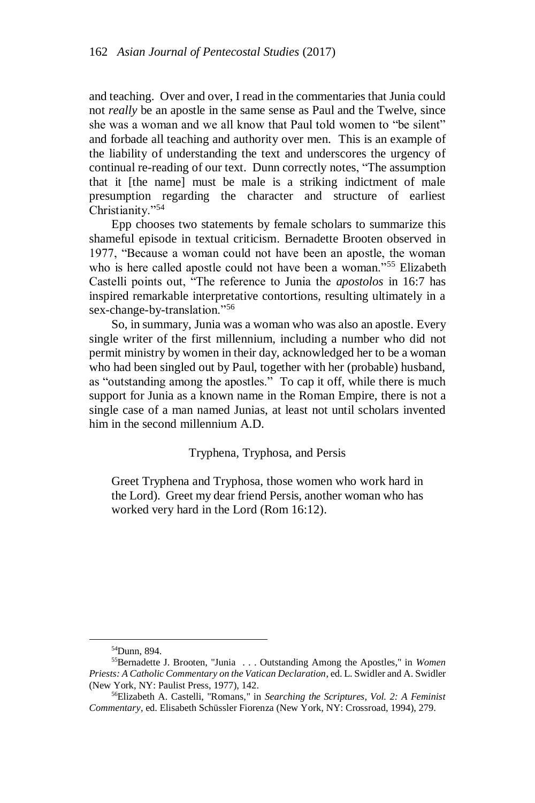and teaching. Over and over, I read in the commentaries that Junia could not *really* be an apostle in the same sense as Paul and the Twelve, since she was a woman and we all know that Paul told women to "be silent" and forbade all teaching and authority over men. This is an example of the liability of understanding the text and underscores the urgency of continual re-reading of our text. Dunn correctly notes, "The assumption that it [the name] must be male is a striking indictment of male presumption regarding the character and structure of earliest Christianity."<sup>54</sup>

Epp chooses two statements by female scholars to summarize this shameful episode in textual criticism. Bernadette Brooten observed in 1977, "Because a woman could not have been an apostle, the woman who is here called apostle could not have been a woman."<sup>55</sup> Elizabeth Castelli points out, "The reference to Junia the *apostolos* in 16:7 has inspired remarkable interpretative contortions, resulting ultimately in a sex-change-by-translation."<sup>56</sup>

So, in summary, Junia was a woman who was also an apostle. Every single writer of the first millennium, including a number who did not permit ministry by women in their day, acknowledged her to be a woman who had been singled out by Paul, together with her (probable) husband, as "outstanding among the apostles." To cap it off, while there is much support for Junia as a known name in the Roman Empire, there is not a single case of a man named Junias, at least not until scholars invented him in the second millennium A.D.

# Tryphena, Tryphosa, and Persis

Greet Tryphena and Tryphosa, those women who work hard in the Lord). Greet my dear friend Persis, another woman who has worked very hard in the Lord (Rom 16:12).

<sup>54</sup>Dunn, 894.

<sup>55</sup>Bernadette J. Brooten, "Junia . . . Outstanding Among the Apostles," in *Women Priests: A Catholic Commentary on the Vatican Declaration*, ed. L. Swidler and A. Swidler (New York, NY: Paulist Press, 1977), 142.

<sup>56</sup>Elizabeth A. Castelli, "Romans," in *Searching the Scriptures, Vol. 2: A Feminist Commentary*, ed. Elisabeth Schüssler Fiorenza (New York, NY: Crossroad, 1994), 279.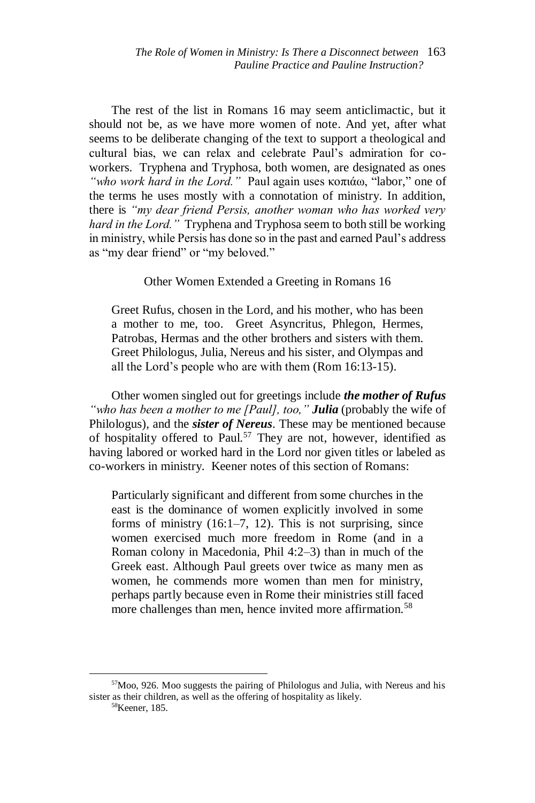The rest of the list in Romans 16 may seem anticlimactic, but it should not be, as we have more women of note. And yet, after what seems to be deliberate changing of the text to support a theological and cultural bias, we can relax and celebrate Paul's admiration for coworkers. Tryphena and Tryphosa, both women, are designated as ones *"who work hard in the Lord."* Paul again uses κοπιάω, "labor," one of the terms he uses mostly with a connotation of ministry. In addition, there is *"my dear friend Persis, another woman who has worked very hard in the Lord."* Tryphena and Tryphosa seem to both still be working in ministry, while Persis has done so in the past and earned Paul's address as "my dear friend" or "my beloved."

## Other Women Extended a Greeting in Romans 16

Greet Rufus, chosen in the Lord, and his mother, who has been a mother to me, too. Greet Asyncritus, Phlegon, Hermes, Patrobas, Hermas and the other brothers and sisters with them. Greet Philologus, Julia, Nereus and his sister, and Olympas and all the Lord's people who are with them (Rom 16:13-15).

Other women singled out for greetings include *the mother of Rufus "who has been a mother to me [Paul], too," Julia* (probably the wife of Philologus), and the *sister of Nereus*. These may be mentioned because of hospitality offered to Paul.<sup>57</sup> They are not, however, identified as having labored or worked hard in the Lord nor given titles or labeled as co-workers in ministry. Keener notes of this section of Romans:

Particularly significant and different from some churches in the east is the dominance of women explicitly involved in some forms of ministry (16:1–7, 12). This is not surprising, since women exercised much more freedom in Rome (and in a Roman colony in Macedonia, Phil 4:2–3) than in much of the Greek east. Although Paul greets over twice as many men as women, he commends more women than men for ministry, perhaps partly because even in Rome their ministries still faced more challenges than men, hence invited more affirmation.<sup>58</sup>

<sup>57</sup>Moo, 926. Moo suggests the pairing of Philologus and Julia, with Nereus and his sister as their children, as well as the offering of hospitality as likely.

<sup>58</sup>Keener, 185.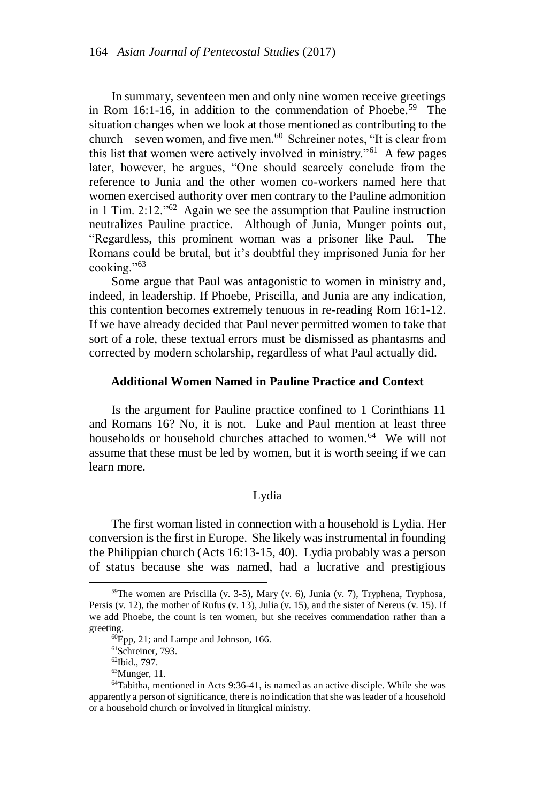In summary, seventeen men and only nine women receive greetings in Rom 16:1-16, in addition to the commendation of Phoebe.<sup>59</sup> The situation changes when we look at those mentioned as contributing to the church—seven women, and five men.<sup>60</sup> Schreiner notes, "It is clear from this list that women were actively involved in ministry."<sup>61</sup> A few pages later, however, he argues, "One should scarcely conclude from the reference to Junia and the other women co-workers named here that women exercised authority over men contrary to the Pauline admonition in 1 Tim. 2:12."<sup>62</sup> Again we see the assumption that Pauline instruction neutralizes Pauline practice. Although of Junia, Munger points out, "Regardless, this prominent woman was a prisoner like Paul. The Romans could be brutal, but it's doubtful they imprisoned Junia for her cooking."<sup>63</sup>

Some argue that Paul was antagonistic to women in ministry and, indeed, in leadership. If Phoebe, Priscilla, and Junia are any indication, this contention becomes extremely tenuous in re-reading Rom 16:1-12. If we have already decided that Paul never permitted women to take that sort of a role, these textual errors must be dismissed as phantasms and corrected by modern scholarship, regardless of what Paul actually did.

### **Additional Women Named in Pauline Practice and Context**

Is the argument for Pauline practice confined to 1 Corinthians 11 and Romans 16? No, it is not. Luke and Paul mention at least three households or household churches attached to women.<sup>64</sup> We will not assume that these must be led by women, but it is worth seeing if we can learn more.

# Lydia

The first woman listed in connection with a household is Lydia. Her conversion is the first in Europe. She likely was instrumental in founding the Philippian church (Acts 16:13-15, 40). Lydia probably was a person of status because she was named, had a lucrative and prestigious

 $59$ The women are Priscilla (v. 3-5), Mary (v. 6), Junia (v. 7), Tryphena, Tryphosa, Persis (v. 12), the mother of Rufus (v. 13), Julia (v. 15), and the sister of Nereus (v. 15). If we add Phoebe, the count is ten women, but she receives commendation rather than a greeting.

 $^{60}$ Epp, 21; and Lampe and Johnson, 166.

<sup>61</sup>Schreiner, 793.

<sup>62</sup>Ibid., 797.

<sup>63</sup>Munger, 11.

<sup>64</sup>Tabitha, mentioned in Acts 9:36-41, is named as an active disciple. While she was apparently a person of significance, there is no indication that she was leader of a household or a household church or involved in liturgical ministry.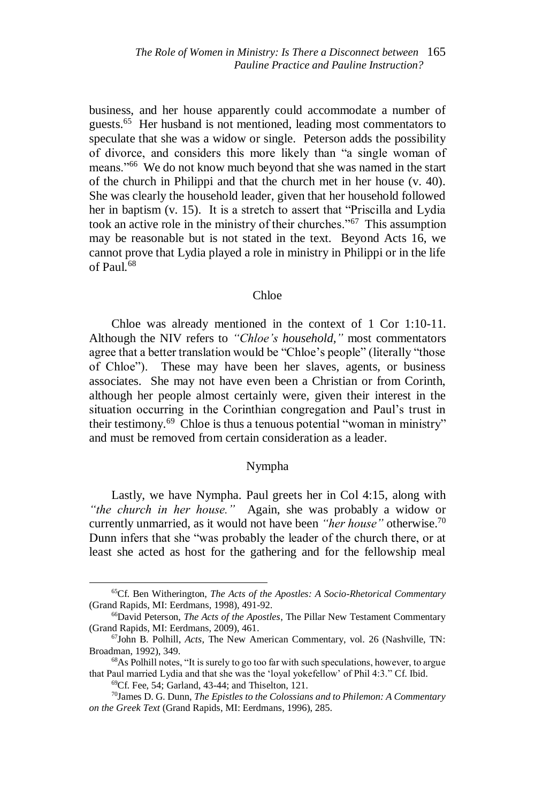business, and her house apparently could accommodate a number of guests.<sup>65</sup> Her husband is not mentioned, leading most commentators to speculate that she was a widow or single. Peterson adds the possibility of divorce, and considers this more likely than "a single woman of means."<sup>66</sup> We do not know much beyond that she was named in the start of the church in Philippi and that the church met in her house (v. 40). She was clearly the household leader, given that her household followed her in baptism (v. 15). It is a stretch to assert that "Priscilla and Lydia took an active role in the ministry of their churches."<sup>67</sup> This assumption may be reasonable but is not stated in the text. Beyond Acts 16, we cannot prove that Lydia played a role in ministry in Philippi or in the life of Paul.<sup>68</sup>

#### Chloe

Chloe was already mentioned in the context of 1 Cor 1:10-11. Although the NIV refers to *"Chloe's household,"* most commentators agree that a better translation would be "Chloe's people" (literally "those of Chloe"). These may have been her slaves, agents, or business associates. She may not have even been a Christian or from Corinth, although her people almost certainly were, given their interest in the situation occurring in the Corinthian congregation and Paul's trust in their testimony.<sup>69</sup> Chloe is thus a tenuous potential "woman in ministry" and must be removed from certain consideration as a leader.

## Nympha

Lastly, we have Nympha. Paul greets her in Col 4:15, along with *"the church in her house."* Again, she was probably a widow or currently unmarried, as it would not have been *"her house"* otherwise.<sup>70</sup> Dunn infers that she "was probably the leader of the church there, or at least she acted as host for the gathering and for the fellowship meal

<sup>65</sup>Cf. Ben Witherington, *The Acts of the Apostles: A Socio-Rhetorical Commentary* (Grand Rapids, MI: Eerdmans, 1998), 491-92.

<sup>66</sup>David Peterson, *The Acts of the Apostles*, The Pillar New Testament Commentary (Grand Rapids, MI: Eerdmans, 2009), 461.

<sup>67</sup>John B. Polhill, *Acts*, The New American Commentary, vol. 26 (Nashville, TN: Broadman, 1992), 349.

<sup>68</sup>As Polhill notes, "It is surely to go too far with such speculations, however, to argue that Paul married Lydia and that she was the 'loyal yokefellow' of Phil 4:3." Cf. Ibid.

<sup>69</sup>Cf. Fee, 54; Garland, 43-44; and Thiselton, 121.

<sup>70</sup>James D. G. Dunn, *The Epistles to the Colossians and to Philemon: A Commentary on the Greek Text* (Grand Rapids, MI: Eerdmans, 1996), 285.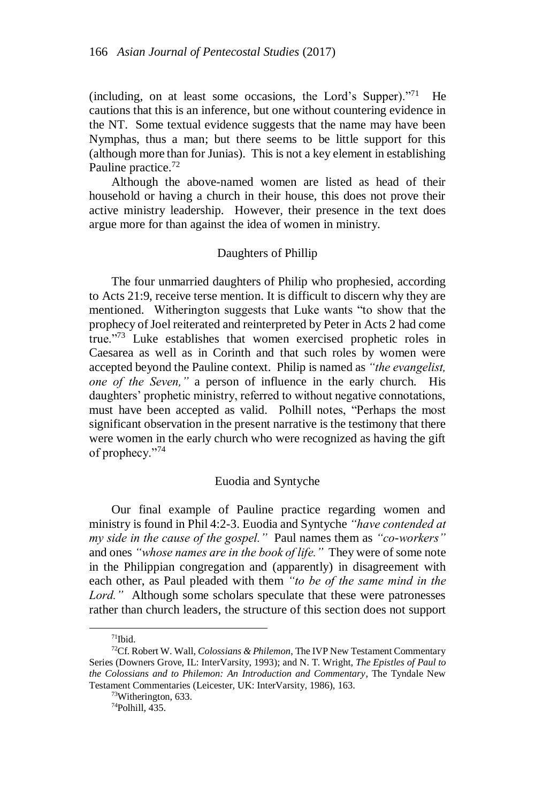(including, on at least some occasions, the Lord's Supper). $171$  He cautions that this is an inference, but one without countering evidence in the NT. Some textual evidence suggests that the name may have been Nymphas, thus a man; but there seems to be little support for this (although more than for Junias). This is not a key element in establishing Pauline practice.<sup>72</sup>

Although the above-named women are listed as head of their household or having a church in their house, this does not prove their active ministry leadership. However, their presence in the text does argue more for than against the idea of women in ministry.

## Daughters of Phillip

The four unmarried daughters of Philip who prophesied, according to Acts 21:9, receive terse mention. It is difficult to discern why they are mentioned. Witherington suggests that Luke wants "to show that the prophecy of Joel reiterated and reinterpreted by Peter in Acts 2 had come true."<sup>73</sup> Luke establishes that women exercised prophetic roles in Caesarea as well as in Corinth and that such roles by women were accepted beyond the Pauline context. Philip is named as *"the evangelist, one of the Seven,"* a person of influence in the early church. His daughters' prophetic ministry, referred to without negative connotations, must have been accepted as valid. Polhill notes, "Perhaps the most significant observation in the present narrative is the testimony that there were women in the early church who were recognized as having the gift of prophecy."<sup>74</sup>

## Euodia and Syntyche

Our final example of Pauline practice regarding women and ministry is found in Phil 4:2-3. Euodia and Syntyche *"have contended at my side in the cause of the gospel."* Paul names them as *"co-workers"* and ones *"whose names are in the book of life."* They were of some note in the Philippian congregation and (apparently) in disagreement with each other, as Paul pleaded with them *"to be of the same mind in the Lord."* Although some scholars speculate that these were patronesses rather than church leaders, the structure of this section does not support

 $\overline{\phantom{a}}$ 

 $71$ Ibid.

<sup>72</sup>Cf. Robert W. Wall, *Colossians & Philemon*, The IVP New Testament Commentary Series (Downers Grove, IL: InterVarsity, 1993); and N. T. Wright, *The Epistles of Paul to the Colossians and to Philemon: An Introduction and Commentary*, The Tyndale New Testament Commentaries (Leicester, UK: InterVarsity, 1986), 163.

<sup>73</sup>Witherington, 633.

<sup>74</sup>Polhill, 435.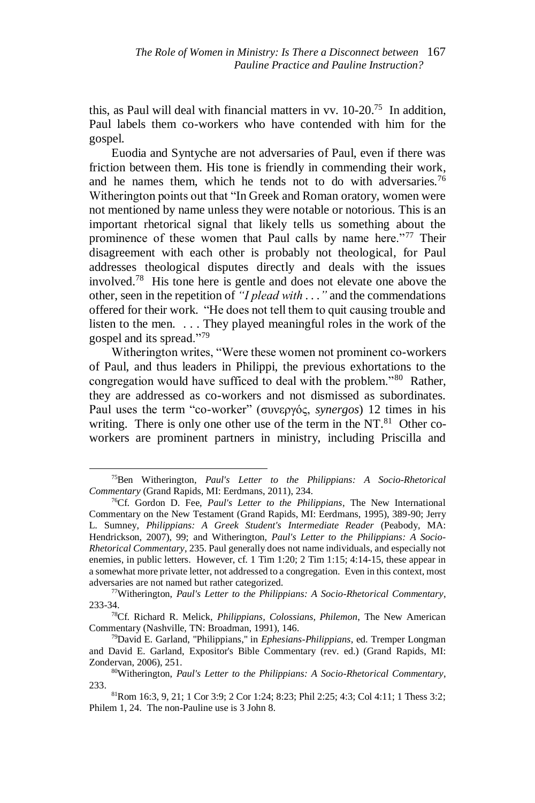this, as Paul will deal with financial matters in vv.  $10$ -20.<sup>75</sup> In addition, Paul labels them co-workers who have contended with him for the gospel.

Euodia and Syntyche are not adversaries of Paul, even if there was friction between them. His tone is friendly in commending their work, and he names them, which he tends not to do with adversaries.<sup>76</sup> Witherington points out that "In Greek and Roman oratory, women were not mentioned by name unless they were notable or notorious. This is an important rhetorical signal that likely tells us something about the prominence of these women that Paul calls by name here."<sup>77</sup> Their disagreement with each other is probably not theological, for Paul addresses theological disputes directly and deals with the issues involved.<sup>78</sup> His tone here is gentle and does not elevate one above the other, seen in the repetition of *"I plead with . . ."*and the commendations offered for their work. "He does not tell them to quit causing trouble and listen to the men. . . . They played meaningful roles in the work of the gospel and its spread."<sup>79</sup>

Witherington writes, "Were these women not prominent co-workers of Paul, and thus leaders in Philippi, the previous exhortations to the congregation would have sufficed to deal with the problem."<sup>80</sup> Rather, they are addressed as co-workers and not dismissed as subordinates. Paul uses the term "co-worker" (συνεργός, *synergos*) 12 times in his writing. There is only one other use of the term in the  $NT<sup>81</sup>$  Other coworkers are prominent partners in ministry, including Priscilla and

<sup>75</sup>Ben Witherington, *Paul's Letter to the Philippians: A Socio-Rhetorical Commentary* (Grand Rapids, MI: Eerdmans, 2011), 234.

<sup>76</sup>Cf. Gordon D. Fee, *Paul's Letter to the Philippians*, The New International Commentary on the New Testament (Grand Rapids, MI: Eerdmans, 1995), 389-90; Jerry L. Sumney, *Philippians: A Greek Student's Intermediate Reader* (Peabody, MA: Hendrickson, 2007), 99; and Witherington, *Paul's Letter to the Philippians: A Socio-Rhetorical Commentary*, 235. Paul generally does not name individuals, and especially not enemies, in public letters. However, cf. 1 Tim 1:20; 2 Tim 1:15; 4:14-15, these appear in a somewhat more private letter, not addressed to a congregation. Even in this context, most adversaries are not named but rather categorized.

<sup>77</sup>Witherington, *Paul's Letter to the Philippians: A Socio-Rhetorical Commentary*, 233-34.

<sup>78</sup>Cf. Richard R. Melick, *Philippians, Colossians, Philemon*, The New American Commentary (Nashville, TN: Broadman, 1991), 146.

<sup>79</sup>David E. Garland, "Philippians," in *Ephesians-Philippians*, ed. Tremper Longman and David E. Garland, Expositor's Bible Commentary (rev. ed.) (Grand Rapids, MI: Zondervan, 2006), 251.

<sup>80</sup>Witherington, *Paul's Letter to the Philippians: A Socio-Rhetorical Commentary*, 233.

<sup>81</sup>Rom 16:3, 9, 21; 1 Cor 3:9; 2 Cor 1:24; 8:23; Phil 2:25; 4:3; Col 4:11; 1 Thess 3:2; Philem 1, 24. The non-Pauline use is 3 John 8.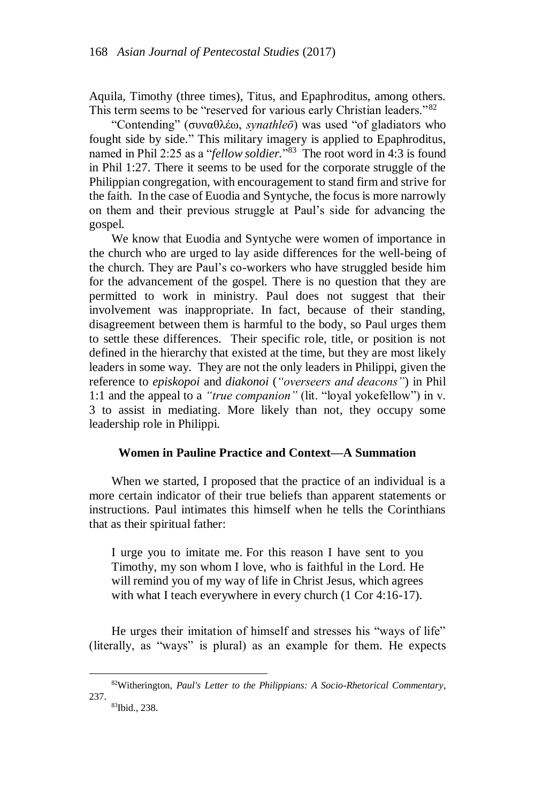Aquila, Timothy (three times), Titus, and Epaphroditus, among others. This term seems to be "reserved for various early Christian leaders."<sup>82</sup>

"Contending" (συναθλέω, *synathleō*) was used "of gladiators who fought side by side." This military imagery is applied to Epaphroditus, named in Phil 2:25 as a "*fellow soldier.*" <sup>83</sup> The root word in 4:3 is found in Phil 1:27. There it seems to be used for the corporate struggle of the Philippian congregation, with encouragement to stand firm and strive for the faith. In the case of Euodia and Syntyche, the focus is more narrowly on them and their previous struggle at Paul's side for advancing the gospel.

We know that Euodia and Syntyche were women of importance in the church who are urged to lay aside differences for the well-being of the church. They are Paul's co-workers who have struggled beside him for the advancement of the gospel. There is no question that they are permitted to work in ministry. Paul does not suggest that their involvement was inappropriate. In fact, because of their standing, disagreement between them is harmful to the body, so Paul urges them to settle these differences. Their specific role, title, or position is not defined in the hierarchy that existed at the time, but they are most likely leaders in some way. They are not the only leaders in Philippi, given the reference to *episkopoi* and *diakonoi* (*"overseers and deacons"*) in Phil 1:1 and the appeal to a *"true companion"* (lit. "loyal yokefellow") in v. 3 to assist in mediating. More likely than not, they occupy some leadership role in Philippi.

# **Women in Pauline Practice and Context—A Summation**

When we started, I proposed that the practice of an individual is a more certain indicator of their true beliefs than apparent statements or instructions. Paul intimates this himself when he tells the Corinthians that as their spiritual father:

I urge you to imitate me. For this reason I have sent to you Timothy, my son whom I love, who is faithful in the Lord. He will remind you of my way of life in Christ Jesus, which agrees with what I teach everywhere in every church (1 Cor 4:16-17).

He urges their imitation of himself and stresses his "ways of life" (literally, as "ways" is plural) as an example for them. He expects

 $\overline{\phantom{a}}$ 

<sup>82</sup>Witherington, *Paul's Letter to the Philippians: A Socio-Rhetorical Commentary*, 237. 83Ibid., 238.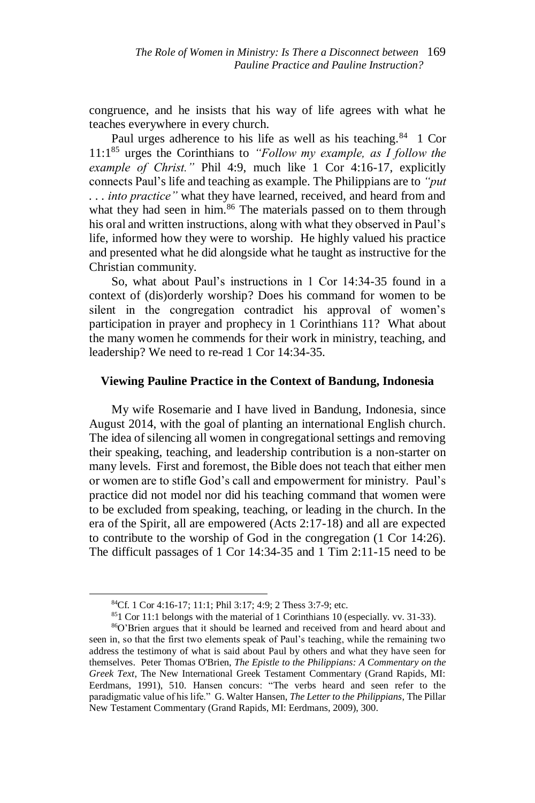congruence, and he insists that his way of life agrees with what he teaches everywhere in every church.

Paul urges adherence to his life as well as his teaching.<sup>84</sup> 1 Cor 11:1<sup>85</sup> urges the Corinthians to *"Follow my example, as I follow the example of Christ."* Phil 4:9, much like 1 Cor 4:16-17, explicitly connects Paul's life and teaching as example. The Philippians are to *"put . . . into practice"* what they have learned, received, and heard from and what they had seen in him.<sup>86</sup> The materials passed on to them through his oral and written instructions, along with what they observed in Paul's life, informed how they were to worship. He highly valued his practice and presented what he did alongside what he taught as instructive for the Christian community.

So, what about Paul's instructions in 1 Cor 14:34-35 found in a context of (dis)orderly worship? Does his command for women to be silent in the congregation contradict his approval of women's participation in prayer and prophecy in 1 Corinthians 11? What about the many women he commends for their work in ministry, teaching, and leadership? We need to re-read 1 Cor 14:34-35.

## **Viewing Pauline Practice in the Context of Bandung, Indonesia**

My wife Rosemarie and I have lived in Bandung, Indonesia, since August 2014, with the goal of planting an international English church. The idea of silencing all women in congregational settings and removing their speaking, teaching, and leadership contribution is a non-starter on many levels. First and foremost, the Bible does not teach that either men or women are to stifle God's call and empowerment for ministry. Paul's practice did not model nor did his teaching command that women were to be excluded from speaking, teaching, or leading in the church. In the era of the Spirit, all are empowered (Acts 2:17-18) and all are expected to contribute to the worship of God in the congregation (1 Cor 14:26). The difficult passages of 1 Cor 14:34-35 and 1 Tim 2:11-15 need to be

 $\overline{a}$ 

 $851$  Cor 11:1 belongs with the material of 1 Corinthians 10 (especially. vv. 31-33).

<sup>84</sup>Cf. 1 Cor 4:16-17; 11:1; Phil 3:17; 4:9; 2 Thess 3:7-9; etc.

<sup>86</sup>O'Brien argues that it should be learned and received from and heard about and seen in, so that the first two elements speak of Paul's teaching, while the remaining two address the testimony of what is said about Paul by others and what they have seen for themselves. Peter Thomas O'Brien, *The Epistle to the Philippians: A Commentary on the Greek Text*, The New International Greek Testament Commentary (Grand Rapids, MI: Eerdmans, 1991), 510. Hansen concurs: "The verbs heard and seen refer to the paradigmatic value of his life." G. Walter Hansen, *The Letter to the Philippians*, The Pillar New Testament Commentary (Grand Rapids, MI: Eerdmans, 2009), 300.